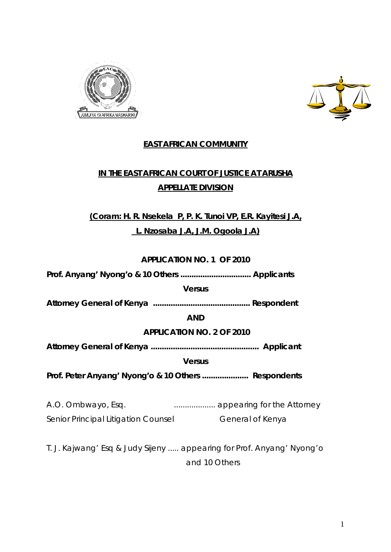



# **EAST AFRICAN COMMUNITY**

# **IN THE EAST AFRICAN COURT OF JUSTICE AT ARUSHA APPELLATE DIVISION**

# **(Coram: H. R. Nsekela P, P. K. Tunoi VP, E.R. Kayitesi J.A, L. Nzosaba J.A, J.M. Ogoola J.A)**

## **APPLICATION NO. 1 OF 2010**

**Prof. Anyang' Nyong'o & 10 Others ................................ Applicants** 

#### **Versus**

**Attorney General of Kenya ............................................ Respondent** 

#### **AND**

## **APPLICATION NO. 2 OF 2010**

**Attorney General of Kenya ................................................. Applicant** 

## **Versus**

**Prof. Peter Anyang' Nyong'o & 10 Others ..................... Respondents** 

A.O. Ombwayo, Esq. ................... appearing for the Attorney Senior Principal Litigation Counsel General of Kenya

T. J. Kajwang' Esq & Judy Sijeny ..... appearing for Prof. Anyang' Nyong'o and 10 Others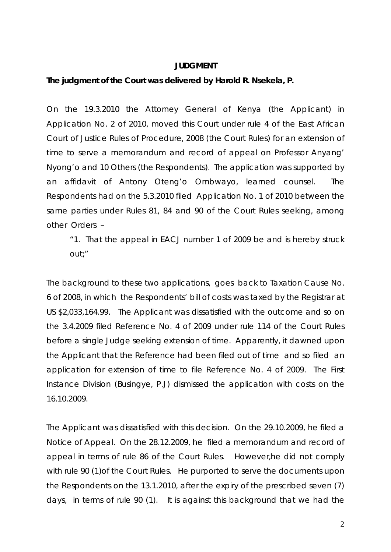#### **JUDGMENT**

#### **The judgment of the Court was delivered by Harold R. Nsekela, P.**

On the 19.3.2010 the Attorney General of Kenya (the Applicant) in Application No. 2 of 2010, moved this Court under rule 4 of the East African Court of Justice Rules of Procedure, 2008 (the Court Rules) for an extension of time to serve a memorandum and record of appeal on Professor Anyang' Nyong'o and 10 Others (the Respondents). The application was supported by an affidavit of Antony Oteng'o Ombwayo, learned counsel. The Respondents had on the 5.3.2010 filed Application No. 1 of 2010 between the same parties under Rules 81, 84 and 90 of the Court Rules seeking, among other Orders –

"*1. That the appeal in EACJ number 1 of 2009 be and is hereby struck out;"* 

The background to these two applications, goes back to Taxation Cause No. 6 of 2008, in which the Respondents' bill of costs was taxed by the Registrar at US \$2,033,164.99. The Applicant was dissatisfied with the outcome and so on the 3.4.2009 filed Reference No. 4 of 2009 under rule 114 of the Court Rules before a single Judge seeking extension of time. Apparently, it dawned upon the Applicant that the Reference had been filed out of time and so filed an application for extension of time to file Reference No. 4 of 2009. The First Instance Division (Busingye, P.J) dismissed the application with costs on the 16.10.2009.

The Applicant was dissatisfied with this decision. On the 29.10.2009, he filed a Notice of Appeal. On the 28.12.2009, he filed a memorandum and record of appeal in terms of rule 86 of the Court Rules. However,he did not comply with rule 90 (1)of the Court Rules. He purported to serve the documents upon the Respondents on the 13.1.2010, after the expiry of the prescribed seven (7) days, in terms of rule 90 (1). It is against this background that we had the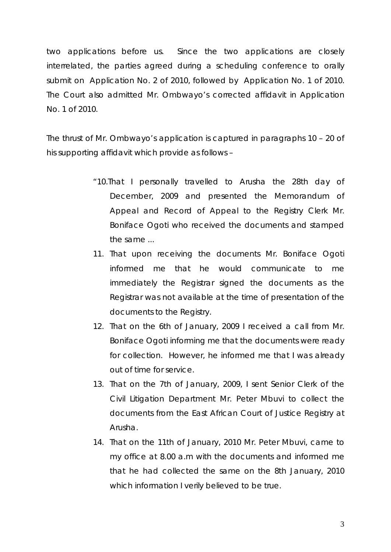two applications before us. Since the two applications are closely interrelated, the parties agreed during a scheduling conference to orally submit on Application No. 2 of 2010, followed by Application No. 1 of 2010. The Court also admitted Mr. Ombwayo's corrected affidavit in Application No. 1 of 2010.

The thrust of Mr. Ombwayo's application is captured in paragraphs 10 – 20 of his supporting affidavit which provide as follows –

- *"10*.*That I personally travelled to Arusha the 28th day of December, 2009 and presented the Memorandum of Appeal and Record of Appeal to the Registry Clerk Mr. Boniface Ogoti who received the documents and stamped the same ...*
- *11. That upon receiving the documents Mr. Boniface Ogoti informed me that he would communicate to me immediately the Registrar signed the documents as the Registrar was not available at the time of presentation of the documents to the Registry.*
- *12. That on the 6th of January, 2009 I received a call from Mr. Boniface Ogoti informing me that the documents were ready for collection. However, he informed me that I was already out of time for service.*
- *13. That on the 7th of January, 2009, I sent Senior Clerk of the Civil Litigation Department Mr. Peter Mbuvi to collect the documents from the East African Court of Justice Registry at Arusha.*
- *14. That on the 11th of January, 2010 Mr. Peter Mbuvi, came to my office at 8.00 a.m with the documents and informed me that he had collected the same on the 8th January, 2010 which information I verily believed to be true.*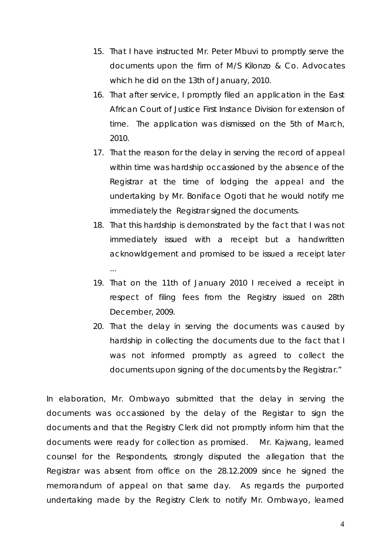- *15. That I have instructed Mr. Peter Mbuvi to promptly serve the documents upon the firm of M/S Kilonzo & Co. Advocates which he did on the 13th of January, 2010.*
- *16. That after service, I promptly filed an application in the East African Court of Justice First Instance Division for extension of time. The application was dismissed on the 5th of March, 2010.*
- *17. That the reason for the delay in serving the record of appeal within time was hardship occassioned by the absence of the Registrar at the time of lodging the appeal and the undertaking by Mr. Boniface Ogoti that he would notify me immediately the Registrar signed the documents.*
- *18. That this hardship is demonstrated by the fact that I was not immediately issued with a receipt but a handwritten acknowldgement and promised to be issued a receipt later ...*
- *19. That on the 11th of January 2010 I received a receipt in respect of filing fees from the Registry issued on 28th December, 2009.*
- *20. That the delay in serving the documents was caused by hardship in collecting the documents due to the fact that I was not informed promptly as agreed to collect the documents upon signing of the documents by the Registrar."*

In elaboration, Mr. Ombwayo submitted that the delay in serving the documents was occassioned by the delay of the Registar to sign the documents and that the Registry Clerk did not promptly inform him that the documents were ready for collection as promised. Mr. Kajwang, learned counsel for the Respondents, strongly disputed the allegation that the Registrar was absent from office on the 28.12.2009 since he signed the memorandum of appeal on that same day. As regards the purported undertaking made by the Registry Clerk to notify Mr. Ombwayo, learned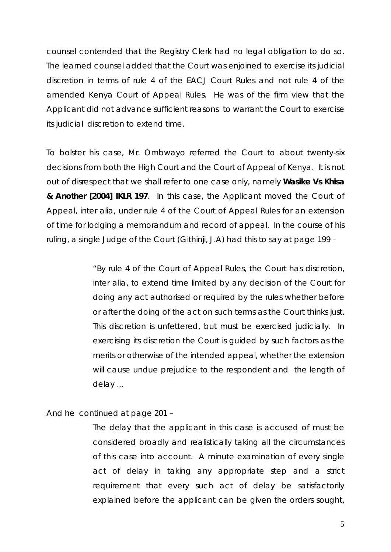counsel contended that the Registry Clerk had no legal obligation to do so. The learned counsel added that the Court was enjoined to exercise its judicial discretion in terms of rule 4 of the EACJ Court Rules and not rule 4 of the amended Kenya Court of Appeal Rules. He was of the firm view that the Applicant did not advance sufficient reasons to warrant the Court to exercise its judicial discretion to extend time.

To bolster his case, Mr. Ombwayo referred the Court to about twenty-six decisions from both the High Court and the Court of Appeal of Kenya. It is not out of disrespect that we shall refer to one case only, namely **Wasike Vs Khisa & Another [2004] IKLR 197**. In this case, the Applicant moved the Court of Appeal, inter alia, under rule 4 of the Court of Appeal Rules for an extension of time for lodging a memorandum and record of appeal. In the course of his ruling, a single Judge of the Court (Githinji, J.A) had this to say at page 199 –

> "*By rule 4 of the Court of Appeal Rules, the Court has discretion, inter alia, to extend time limited by any decision of the Court for doing any act authorised or required by the rules whether before or after the doing of the act on such terms as the Court thinks just. This discretion is unfettered, but must be exercised judicially. In exercising its discretion the Court is guided by such factors as the merits or otherwise of the intended appeal, whether the extension will cause undue prejudice to the respondent and the length of delay ...*

And he continued at page 201 –

*The delay that the applicant in this case is accused of must be considered broadly and realistically taking all the circumstances of this case into account. A minute examination of every single act of delay in taking any appropriate step and a strict requirement that every such act of delay be satisfactorily explained before the applicant can be given the orders sought,*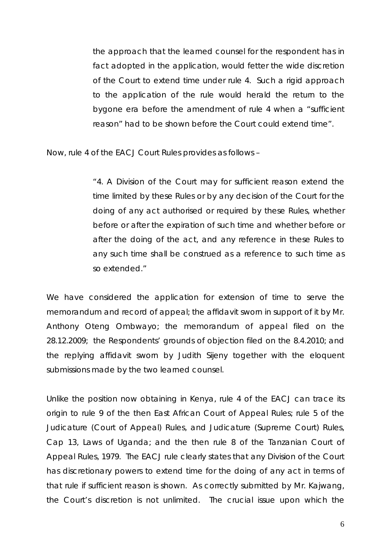*the approach that the learned counsel for the respondent has in*  fact adopted in the application, would fetter the wide discretion *of the Court to extend time under rule 4. Such a rigid approach to the application of the rule would herald the return to the bygone era before the amendment of rule 4 when a "sufficient reason" had to be shown before the Court could extend time".* 

Now, rule 4 of the EACJ Court Rules provides as follows –

*"4. A Division of the Court may for sufficient reason extend the time limited by these Rules or by any decision of the Court for the doing of any act authorised or required by these Rules, whether before or after the expiration of such time and whether before or after the doing of the act, and any reference in these Rules to any such time shall be construed as a reference to such time as so extended*."

We have considered the application for extension of time to serve the memorandum and record of appeal; the affidavit sworn in support of it by Mr. Anthony Oteng Ombwayo; the memorandum of appeal filed on the 28.12.2009; the Respondents' grounds of objection filed on the 8.4.2010; and the replying affidavit sworn by Judith Sijeny together with the eloquent submissions made by the two learned counsel.

Unlike the position now obtaining in Kenya, rule 4 of the EACJ can trace its origin to rule 9 of the then East African Court of Appeal Rules; rule 5 of the Judicature (Court of Appeal) Rules, and Judicature (Supreme Court) Rules, Cap 13, Laws of Uganda; and the then rule 8 of the Tanzanian Court of Appeal Rules, 1979. The EACJ rule clearly states that any Division of the Court has discretionary powers to extend time for the doing of any act in terms of that rule if sufficient reason is shown. As correctly submitted by Mr. Kajwang, the Court's discretion is not unlimited. The crucial issue upon which the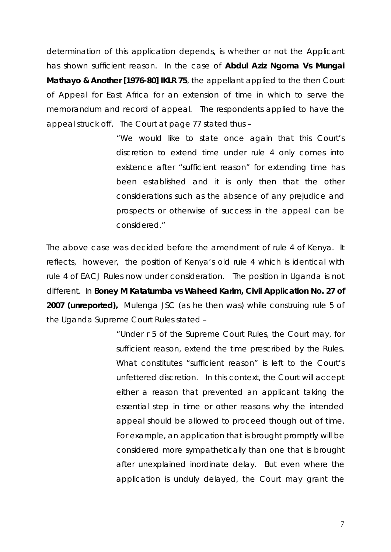determination of this application depends, is whether or not the Applicant has shown sufficient reason. In the case of **Abdul Aziz Ngoma Vs Mungai Mathayo & Another [1976-80] IKLR 75**, the appellant applied to the then Court of Appeal for East Africa for an extension of time in which to serve the memorandum and record of appeal. The respondents applied to have the appeal struck off. The Court at page 77 stated thus –

> *"We would like to state once again that this Court's discretion to extend time under rule 4 only comes into existence after "sufficient reason" for extending time has been established and it is only then that the other considerations such as the absence of any prejudice and prospects or otherwise of success in the appeal can be considered."*

The above case was decided before the amendment of rule 4 of Kenya. It reflects, however, the position of Kenya's old rule 4 which is identical with rule 4 of EACJ Rules now under consideration. The position in Uganda is not different. In **Boney M Katatumba vs Waheed Karim, Civil Application No. 27 of 2007 (unreported),** Mulenga JSC (as he then was) while construing rule 5 of the Uganda Supreme Court Rules stated –

> "*Under r 5 of the Supreme Court Rules, the Court may, for sufficient reason, extend the time prescribed by the Rules. What constitutes "sufficient reason" is left to the Court's unfettered discretion. In this context, the Court will accept either a reason that prevented an applicant taking the essential step in time or other reasons why the intended appeal should be allowed to proceed though out of time. For example, an application that is brought promptly will be considered more sympathetically than one that is brought after unexplained inordinate delay. But even where the application is unduly delayed, the Court may grant the*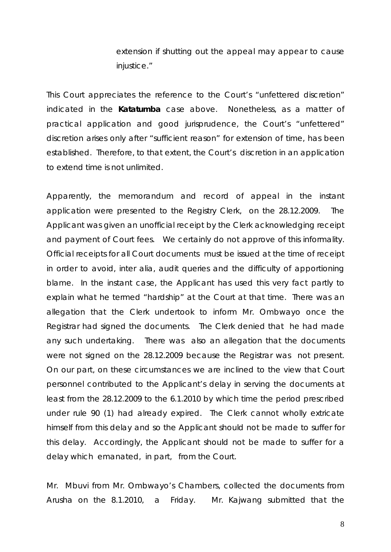*extension if shutting out the appeal may appear to cause injustice."* 

This Court appreciates the reference to the Court's "unfettered discretion" indicated in the **Katatumba** case above. Nonetheless, as a matter of practical application and good jurisprudence, the Court's "unfettered" discretion arises only after "sufficient reason" for extension of time, has been established. Therefore, to that extent, the Court's discretion in an application to extend time is not unlimited.

Apparently, the memorandum and record of appeal in the instant application were presented to the Registry Clerk, on the 28.12.2009. The Applicant was given an unofficial receipt by the Clerk acknowledging receipt and payment of Court fees. We certainly do not approve of this informality. Official receipts for all Court documents must be issued at the time of receipt in order to avoid, inter alia, audit queries and the difficulty of apportioning blame. In the instant case, the Applicant has used this very fact partly to explain what he termed "hardship" at the Court at that time. There was an allegation that the Clerk undertook to inform Mr. Ombwayo once the Registrar had signed the documents. The Clerk denied that he had made any such undertaking. There was also an allegation that the documents were not signed on the 28.12.2009 because the Registrar was not present. On our part, on these circumstances we are inclined to the view that Court personnel contributed to the Applicant's delay in serving the documents at least from the 28.12.2009 to the 6.1.2010 by which time the period prescribed under rule 90 (1) had already expired. The Clerk cannot wholly extricate himself from this delay and so the Applicant should not be made to suffer for this delay. Accordingly, the Applicant should not be made to suffer for a delay which emanated, in part, from the Court.

Mr. Mbuvi from Mr. Ombwayo's Chambers, collected the documents from Arusha on the 8.1.2010, a Friday. Mr. Kajwang submitted that the

8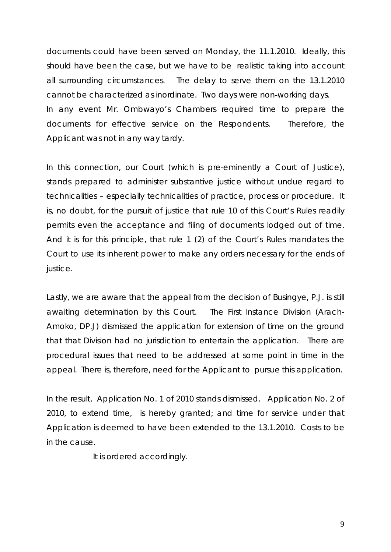documents could have been served on Monday, the 11.1.2010. Ideally, this should have been the case, but we have to be realistic taking into account all surrounding circumstances. The delay to serve them on the 13.1.2010 cannot be characterized as inordinate. Two days were non-working days. In any event Mr. Ombwayo's Chambers required time to prepare the documents for effective service on the Respondents. Therefore, the Applicant was not in any way tardy.

In this connection, our Court (which is pre-eminently a Court of Justice), stands prepared to administer substantive justice without undue regard to technicalities – especially technicalities of practice, process or procedure. It is, no doubt, for the pursuit of justice that rule 10 of this Court's Rules readily permits even the acceptance and filing of documents lodged out of time. And it is for this principle, that rule 1 (2) of the Court's Rules mandates the Court to use its inherent power to make any orders necessary for the ends of justice.

Lastly, we are aware that the appeal from the decision of Busingye, P.J. is still awaiting determination by this Court. The First Instance Division (Arach-Amoko, DP.J) dismissed the application for extension of time on the ground that that Division had no jurisdiction to entertain the application. There are procedural issues that need to be addressed at some point in time in the appeal. There is, therefore, need for the Applicant to pursue this application.

In the result, Application No. 1 of 2010 stands dismissed. Application No. 2 of 2010, to extend time, is hereby granted; and time for service under that Application is deemed to have been extended to the 13.1.2010. Costs to be in the cause.

It is ordered accordingly.